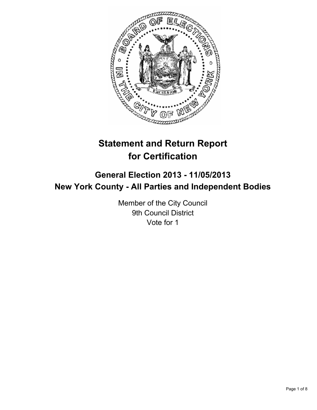

# **Statement and Return Report for Certification**

## **General Election 2013 - 11/05/2013 New York County - All Parties and Independent Bodies**

Member of the City Council 9th Council District Vote for 1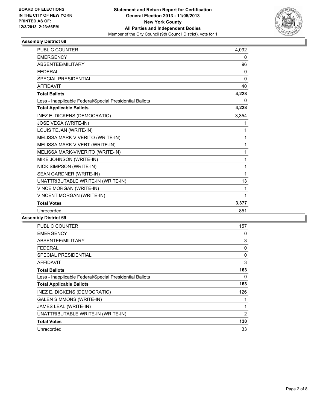

| <b>PUBLIC COUNTER</b>                                    | 4.092    |
|----------------------------------------------------------|----------|
| <b>EMERGENCY</b>                                         | 0        |
| ABSENTEE/MILITARY                                        | 96       |
| <b>FFDFRAL</b>                                           | 0        |
| <b>SPECIAL PRESIDENTIAL</b>                              | $\Omega$ |
| <b>AFFIDAVIT</b>                                         | 40       |
| <b>Total Ballots</b>                                     | 4,228    |
| Less - Inapplicable Federal/Special Presidential Ballots | 0        |
| <b>Total Applicable Ballots</b>                          | 4,228    |
| INEZ E. DICKENS (DEMOCRATIC)                             | 3,354    |
| JOSE VEGA (WRITE-IN)                                     | 1        |
| LOUIS TEJAN (WRITE-IN)                                   | 1        |
| MELISSA MARK VIVERITO (WRITE-IN)                         | 1        |
| MELISSA MARK VIVERT (WRITE-IN)                           | 1        |
| MELISSA MARK-VIVERITO (WRITE-IN)                         | 1        |
| MIKE JOHNSON (WRITE-IN)                                  | 1        |
| NICK SIMPSON (WRITE-IN)                                  | 1        |
| SEAN GARDNER (WRITE-IN)                                  | 1        |
| UNATTRIBUTABLE WRITE-IN (WRITE-IN)                       | 13       |
| <b>VINCE MORGAN (WRITE-IN)</b>                           | 1        |
| VINCENT MORGAN (WRITE-IN)                                | 1        |
| <b>Total Votes</b>                                       | 3,377    |
| Unrecorded                                               | 851      |

| <b>PUBLIC COUNTER</b>                                    | 157 |
|----------------------------------------------------------|-----|
| <b>EMERGENCY</b>                                         | 0   |
| ABSENTEE/MILITARY                                        | 3   |
| FEDERAL                                                  | 0   |
| <b>SPECIAL PRESIDENTIAL</b>                              | 0   |
| <b>AFFIDAVIT</b>                                         | 3   |
| <b>Total Ballots</b>                                     | 163 |
| Less - Inapplicable Federal/Special Presidential Ballots | 0   |
| <b>Total Applicable Ballots</b>                          | 163 |
| INEZ E. DICKENS (DEMOCRATIC)                             | 126 |
| <b>GALEN SIMMONS (WRITE-IN)</b>                          |     |
| JAMES LEAL (WRITE-IN)                                    |     |
| UNATTRIBUTABLE WRITE-IN (WRITE-IN)                       | 2   |
| <b>Total Votes</b>                                       | 130 |
| Unrecorded                                               | 33  |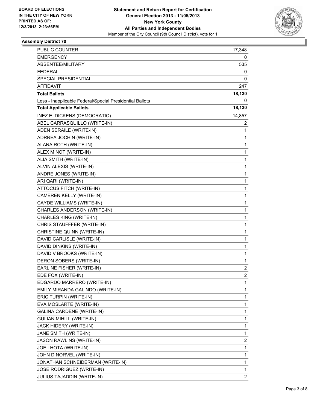

| PUBLIC COUNTER                                           | 17,348                  |
|----------------------------------------------------------|-------------------------|
| <b>EMERGENCY</b>                                         | 0                       |
| ABSENTEE/MILITARY                                        | 535                     |
| <b>FEDERAL</b>                                           | 0                       |
| SPECIAL PRESIDENTIAL                                     | 0                       |
| AFFIDAVIT                                                | 247                     |
| <b>Total Ballots</b>                                     | 18,130                  |
| Less - Inapplicable Federal/Special Presidential Ballots | 0                       |
| <b>Total Applicable Ballots</b>                          | 18,130                  |
| INEZ E. DICKENS (DEMOCRATIC)                             | 14,857                  |
| ABEL CARRASQUILLO (WRITE-IN)                             | 2                       |
| ADEN SERAILE (WRITE-IN)                                  | 1                       |
| ADRREA JOCHIN (WRITE-IN)                                 | 1                       |
| ALANA ROTH (WRITE-IN)                                    | 1                       |
| ALEX MINOT (WRITE-IN)                                    | $\mathbf 1$             |
| ALIA SMITH (WRITE-IN)                                    | 1                       |
| ALVIN ALEXIS (WRITE-IN)                                  | 1                       |
| ANDRE JONES (WRITE-IN)                                   | 1                       |
| ARI QARI (WRITE-IN)                                      | 1                       |
| ATTOCUS FITCH (WRITE-IN)                                 | 1                       |
| CAMEREN KELLY (WRITE-IN)                                 | $\mathbf 1$             |
| CAYDE WILLIAMS (WRITE-IN)                                | 1                       |
| CHARLES ANDERSON (WRITE-IN)                              | 1                       |
| CHARLES KING (WRITE-IN)                                  | 1                       |
| CHRIS STAUFFFER (WRITE-IN)                               | 1                       |
| CHRISTINE QUINN (WRITE-IN)                               | 1                       |
| DAVID CARLISLE (WRITE-IN)                                | $\mathbf 1$             |
| DAVID DINKINS (WRITE-IN)                                 | 1                       |
| DAVID V BROOKS (WRITE-IN)                                | 1                       |
| DERON SOBERS (WRITE-IN)                                  | 1                       |
| EARLINE FISHER (WRITE-IN)                                | 2                       |
| EDE FOX (WRITE-IN)                                       | 2                       |
| EDGARDO MARRERO (WRITE-IN)                               | 1                       |
| EMILY MIRANDA GALINDO (WRITE-IN)                         | 1                       |
| ERIC TURPIN (WRITE-IN)                                   | 1                       |
| EVA MOSLARTE (WRITE-IN)                                  | 1                       |
| <b>GALINA CARDENE (WRITE-IN)</b>                         | 1                       |
| <b>GULIAN MIHILL (WRITE-IN)</b>                          | 1                       |
| JACK HIDERY (WRITE-IN)                                   | 1                       |
| JANE SMITH (WRITE-IN)                                    | 1                       |
| JASON RAWLINS (WRITE-IN)                                 | $\overline{\mathbf{c}}$ |
| JOE LHOTA (WRITE-IN)                                     | 1                       |
| JOHN D NORVEL (WRITE-IN)                                 | 1                       |
| JONATHAN SCHNEIDERMAN (WRITE-IN)                         | 1                       |
| JOSE RODRIGUEZ (WRITE-IN)                                | 1                       |
| <b>JULIUS TAJADDIN (WRITE-IN)</b>                        | 2                       |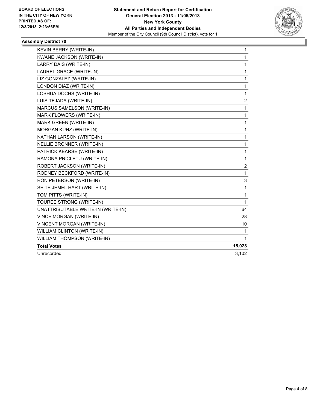

| KEVIN BERRY (WRITE-IN)             | 1            |
|------------------------------------|--------------|
| KWANE JACKSON (WRITE-IN)           | 1            |
| LARRY DAIS (WRITE-IN)              | 1            |
| LAUREL GRACE (WRITE-IN)            | 1            |
| LIZ GONZALEZ (WRITE-IN)            | 1            |
| LONDON DIAZ (WRITE-IN)             | $\mathbf{1}$ |
| LOSHUA DOCHS (WRITE-IN)            | 1            |
| LUIS TEJADA (WRITE-IN)             | 2            |
| MARCUS SAMELSON (WRITE-IN)         | $\mathbf 1$  |
| MARK FLOWERS (WRITE-IN)            | 1            |
| MARK GREEN (WRITE-IN)              | 1            |
| MORGAN KUHZ (WRITE-IN)             | 1            |
| NATHAN LARSON (WRITE-IN)           | $\mathbf 1$  |
| NELLIE BRONNER (WRITE-IN)          | 1            |
| PATRICK KEARSE (WRITE-IN)          | 1            |
| RAMONA PRICLETU (WRITE-IN)         | $\mathbf{1}$ |
| ROBERT JACKSON (WRITE-IN)          | 2            |
| RODNEY BECKFORD (WRITE-IN)         | $\mathbf{1}$ |
| RON PETERSON (WRITE-IN)            | 3            |
| SEITE JEMEL HART (WRITE-IN)        | 1            |
| TOM PITTS (WRITE-IN)               | 1            |
| TOUREE STRONG (WRITE-IN)           | 1            |
| UNATTRIBUTABLE WRITE-IN (WRITE-IN) | 64           |
| VINCE MORGAN (WRITE-IN)            | 28           |
| <b>VINCENT MORGAN (WRITE-IN)</b>   | 10           |
| WILLIAM CLINTON (WRITE-IN)         | 1            |
| WILLIAM THOMPSON (WRITE-IN)        | $\mathbf{1}$ |
| <b>Total Votes</b>                 | 15,028       |
| Unrecorded                         | 3,102        |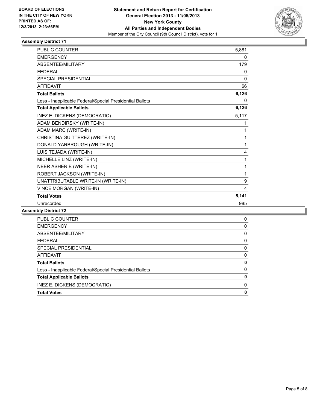

| <b>PUBLIC COUNTER</b>                                    | 5,881    |
|----------------------------------------------------------|----------|
| <b>EMERGENCY</b>                                         | 0        |
| <b>ABSENTEE/MILITARY</b>                                 | 179      |
| <b>FEDERAL</b>                                           | 0        |
| SPECIAL PRESIDENTIAL                                     | $\Omega$ |
| <b>AFFIDAVIT</b>                                         | 66       |
| <b>Total Ballots</b>                                     | 6,126    |
| Less - Inapplicable Federal/Special Presidential Ballots | 0        |
| <b>Total Applicable Ballots</b>                          | 6,126    |
| INEZ E. DICKENS (DEMOCRATIC)                             | 5,117    |
| ADAM BENDIRSKY (WRITE-IN)                                | 1        |
| ADAM MARC (WRITE-IN)                                     | 1        |
| CHRISTINA GUITTEREZ (WRITE-IN)                           | 1        |
| DONALD YARBROUGH (WRITE-IN)                              | 1        |
| LUIS TEJADA (WRITE-IN)                                   | 4        |
| MICHELLE LINZ (WRITE-IN)                                 | 1        |
| NEER ASHERIE (WRITE-IN)                                  | 1        |
| ROBERT JACKSON (WRITE-IN)                                | 1        |
| UNATTRIBUTABLE WRITE-IN (WRITE-IN)                       | 9        |
| VINCE MORGAN (WRITE-IN)                                  | 4        |
| <b>Total Votes</b>                                       | 5,141    |
| Unrecorded                                               | 985      |

| PUBLIC COUNTER                                           | 0 |
|----------------------------------------------------------|---|
| <b>EMERGENCY</b>                                         | 0 |
| ABSENTEE/MILITARY                                        | 0 |
| <b>FFDFRAL</b>                                           | 0 |
| <b>SPECIAL PRESIDENTIAL</b>                              | 0 |
| <b>AFFIDAVIT</b>                                         | 0 |
| <b>Total Ballots</b>                                     | 0 |
| Less - Inapplicable Federal/Special Presidential Ballots | 0 |
| <b>Total Applicable Ballots</b>                          | 0 |
| INEZ E. DICKENS (DEMOCRATIC)                             | 0 |
| <b>Total Votes</b>                                       | 0 |
|                                                          |   |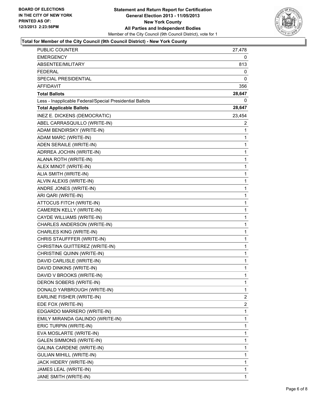

## **Total for Member of the City Council (9th Council District) - New York County**

| <b>PUBLIC COUNTER</b>                                    | 27,478       |
|----------------------------------------------------------|--------------|
| <b>EMERGENCY</b>                                         | 0            |
| ABSENTEE/MILITARY                                        | 813          |
| <b>FEDERAL</b>                                           | 0            |
| SPECIAL PRESIDENTIAL                                     | 0            |
| AFFIDAVIT                                                | 356          |
| <b>Total Ballots</b>                                     | 28,647       |
| Less - Inapplicable Federal/Special Presidential Ballots | 0            |
| <b>Total Applicable Ballots</b>                          | 28,647       |
| INEZ E. DICKENS (DEMOCRATIC)                             | 23,454       |
| ABEL CARRASQUILLO (WRITE-IN)                             | $\mathbf{2}$ |
| ADAM BENDIRSKY (WRITE-IN)                                | 1            |
| ADAM MARC (WRITE-IN)                                     | 1            |
| ADEN SERAILE (WRITE-IN)                                  | 1            |
| ADRREA JOCHIN (WRITE-IN)                                 | 1            |
| ALANA ROTH (WRITE-IN)                                    | 1            |
| ALEX MINOT (WRITE-IN)                                    | 1            |
| ALIA SMITH (WRITE-IN)                                    | 1            |
| ALVIN ALEXIS (WRITE-IN)                                  | 1            |
| ANDRE JONES (WRITE-IN)                                   | $\mathbf{1}$ |
| ARI QARI (WRITE-IN)                                      | 1            |
| ATTOCUS FITCH (WRITE-IN)                                 | 1            |
| CAMEREN KELLY (WRITE-IN)                                 | 1            |
| CAYDE WILLIAMS (WRITE-IN)                                | 1            |
| CHARLES ANDERSON (WRITE-IN)                              | 1            |
| CHARLES KING (WRITE-IN)                                  | $\mathbf{1}$ |
| CHRIS STAUFFFER (WRITE-IN)                               | 1            |
| CHRISTINA GUITTEREZ (WRITE-IN)                           | 1            |
| CHRISTINE QUINN (WRITE-IN)                               | $\mathbf{1}$ |
| DAVID CARLISLE (WRITE-IN)                                | 1            |
| DAVID DINKINS (WRITE-IN)                                 | 1            |
| DAVID V BROOKS (WRITE-IN)                                | $\mathbf{1}$ |
| DERON SOBERS (WRITE-IN)                                  | 1            |
| DONALD YARBROUGH (WRITE-IN)                              | 1            |
| EARLINE FISHER (WRITE-IN)                                | 2            |
| EDE FOX (WRITE-IN)                                       | 2            |
| EDGARDO MARRERO (WRITE-IN)                               | 1            |
| EMILY MIRANDA GALINDO (WRITE-IN)                         | 1            |
| ERIC TURPIN (WRITE-IN)                                   | 1            |
| EVA MOSLARTE (WRITE-IN)                                  | 1            |
| <b>GALEN SIMMONS (WRITE-IN)</b>                          | 1            |
| <b>GALINA CARDENE (WRITE-IN)</b>                         | 1            |
| GULIAN MIHILL (WRITE-IN)                                 | 1            |
| JACK HIDERY (WRITE-IN)                                   | 1            |
| JAMES LEAL (WRITE-IN)                                    | 1            |
| JANE SMITH (WRITE-IN)                                    | 1            |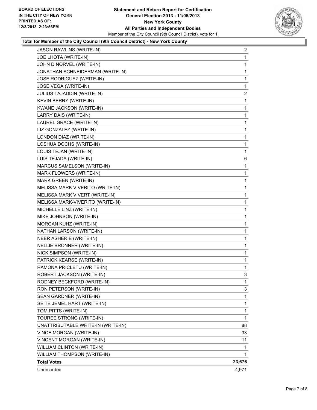

## **Total for Member of the City Council (9th Council District) - New York County**

| JASON RAWLINS (WRITE-IN)           | $\mathbf{2}$ |
|------------------------------------|--------------|
| JOE LHOTA (WRITE-IN)               | 1            |
| JOHN D NORVEL (WRITE-IN)           | 1            |
| JONATHAN SCHNEIDERMAN (WRITE-IN)   | 1            |
| JOSE RODRIGUEZ (WRITE-IN)          | 1            |
| JOSE VEGA (WRITE-IN)               | 1            |
| JULIUS TAJADDIN (WRITE-IN)         | $\mathbf{2}$ |
| KEVIN BERRY (WRITE-IN)             | 1            |
| KWANE JACKSON (WRITE-IN)           | 1            |
| LARRY DAIS (WRITE-IN)              | 1            |
| LAUREL GRACE (WRITE-IN)            | 1            |
| LIZ GONZALEZ (WRITE-IN)            | 1            |
| LONDON DIAZ (WRITE-IN)             | 1            |
| LOSHUA DOCHS (WRITE-IN)            | 1            |
| LOUIS TEJAN (WRITE-IN)             | 1            |
| LUIS TEJADA (WRITE-IN)             | 6            |
| MARCUS SAMELSON (WRITE-IN)         | 1            |
| MARK FLOWERS (WRITE-IN)            | 1            |
| MARK GREEN (WRITE-IN)              | 1            |
| MELISSA MARK VIVERITO (WRITE-IN)   | 1            |
| MELISSA MARK VIVERT (WRITE-IN)     | 1            |
| MELISSA MARK-VIVERITO (WRITE-IN)   | 1            |
| MICHELLE LINZ (WRITE-IN)           | 1            |
| MIKE JOHNSON (WRITE-IN)            | 1            |
| MORGAN KUHZ (WRITE-IN)             | 1            |
| NATHAN LARSON (WRITE-IN)           | 1            |
| NEER ASHERIE (WRITE-IN)            | 1            |
| NELLIE BRONNER (WRITE-IN)          | 1            |
| NICK SIMPSON (WRITE-IN)            | 1            |
| PATRICK KEARSE (WRITE-IN)          | 1            |
| RAMONA PRICLETU (WRITE-IN)         | 1            |
| ROBERT JACKSON (WRITE-IN)          | 3            |
| RODNEY BECKFORD (WRITE-IN)         | 1            |
| RON PETERSON (WRITE-IN)            | 3            |
| SEAN GARDNER (WRITE-IN)            | 1            |
| SEITE JEMEL HART (WRITE-IN)        | 1            |
| TOM PITTS (WRITE-IN)               | $\mathbf{1}$ |
| TOUREE STRONG (WRITE-IN)           | 1            |
| UNATTRIBUTABLE WRITE-IN (WRITE-IN) | 88           |
| VINCE MORGAN (WRITE-IN)            | 33           |
| VINCENT MORGAN (WRITE-IN)          | 11           |
| WILLIAM CLINTON (WRITE-IN)         | 1            |
| WILLIAM THOMPSON (WRITE-IN)        | 1            |
| <b>Total Votes</b>                 | 23,676       |
| Unrecorded                         | 4,971        |